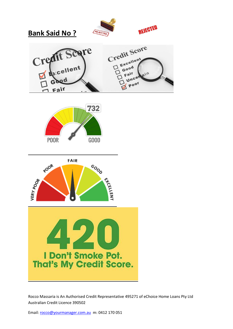











Rocco Massaria is An Authorised Credit Representative 495271 of eChoice Home Loans Pty Ltd Australian Credit Licence 390502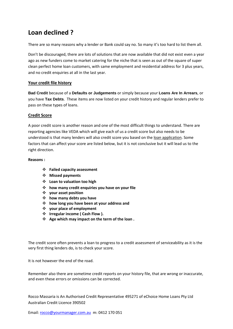# **Loan declined ?**

There are so many reasons why a lender or Bank could say no. So many it's too hard to list them all.

Don't be discouraged, there are lots of solutions that are now available that did not exist even a year ago as new funders come to market catering for the niche that is seen as out of the square of super clean perfect home loan customers, with same employment and residential address for 3 plus years, and no credit enquiries at all in the last year.

#### **Your credit file history**

**Bad [Credit](http://banksaidno.com.au/bad-credit/)** because of a **Defaults or [Judgements](http://banksaidno.com.au/defaults-judgements/)** or simply because your **Loans Are In [Arrears](http://banksaidno.com.au/loans-in-arrears/)**, or you have **Tax [Debts](http://banksaidno.com.au/tax-debts/)**. These items are now listed on your credit history and regular lenders prefer to pass on these types of loans.

#### **Credit Score**

A poor credit score is another reason and one of the most difficult things to understand. There are reporting agencies like VEDA which will give each of us a credit score but also needs to be understood is that many lenders will also credit score you based on the loan application. Some factors that can affect your score are listed below, but it is not conclusive but it will lead us to the right direction.

#### **Reasons :**

- **Failed capacity assessment**
- **Missed payments**
- **Loan to valuation too high**
- **how many credit enquiries you have on your file**
- **your asset position**
- **how many debts you have**
- **how long you have been at your address and**
- **your place of employment**
- $\div$  Irregular income ( Cash Flow ).
- **Age which may impact on the term of the loan .**

The credit score often prevents a loan to progress to a credit assessment of serviceability as it is the very first thing lenders do, is to check your score.

It is not however the end of the road.

Remember also there are sometime credit reports on your history file, that are wrong or inaccurate, and even these errors or omissions can be corrected.

Rocco Massaria is An Authorised Credit Representative 495271 of eChoice Home Loans Pty Ltd Australian Credit Licence 390502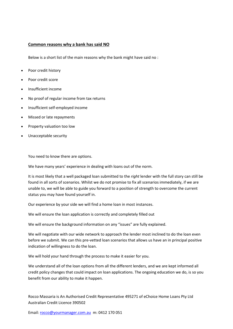#### **Common reasons why a bank has said NO**

Below is a short list of the main reasons why the bank might have said no :

- Poor credit history
- Poor credit score
- Insufficient income
- No proof of regular income from tax returns
- Insufficient self-employed income
- Missed or late repayments
- Property valuation too low
- Unacceptable security

You need to know there are options.

We have many years' experience in dealing with loans out of the norm.

It is most likely that a well packaged loan submitted to the *right* lender with the full story can still be found in all sorts of scenarios. Whilst we do not promise to fix all scenarios immediately, if we are unable to, we will be able to guide you forward to a position of strength to overcome the current status you may have found yourself in.

Our experience by your side we will find a home loan in most instances.

We will ensure the loan application is correctly and completely filled out

We will ensure the background information on any "issues" are fully explained.

We will negotiate with our wide network to approach the lender most inclined to do the loan even before we submit. We can this pre-vetted loan scenarios that allows us have an in principal positive indication of willingness to do the loan.

We will hold your hand through the process to make it easier for you.

We understand all of the loan options from all the different lenders, and we are kept informed all credit policy changes that could impact on loan applications. The ongoing education we do, is so you benefit from our ability to make it happen.

Rocco Massaria is An Authorised Credit Representative 495271 of eChoice Home Loans Pty Ltd Australian Credit Licence 390502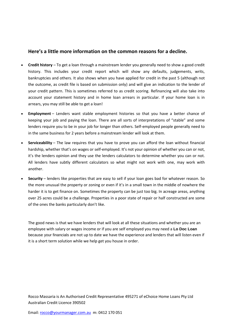## **Here's a little more information on the common reasons for a decline.**

- **Credit history** To get a loan through a mainstream lender you generally need to show a good credit history. This includes your credit report which will show any defaults, judgements, writs, bankruptcies and others. It also shows when you have applied for credit in the past 5 (although not the outcome, as credit file is based on submission only) and will give an indication to the lender of your credit pattern. This is sometimes referred to as credit scoring. Refinancing will also take into account your statement history and in home loan arrears in particular. If your home loan is in arrears, you may still be able to get a loan!
- **Employment** Lenders want stable employment histories so that you have a better chance of keeping your job and paying the loan. There are all sorts of interpretations of "stable" and some lenders require you to be in your job for longer than others. Self-employed people generally need to in the same business for 2 years before a mainstream lender will look at them.
- **Serviceability** The law requires that you have to prove you can afford the loan without financial hardship, whether that's on wages or self-employed. It's not your opinion of whether you can or not, it's the lenders opinion and they use the lenders calculators to determine whether you can or not. All lenders have subtly different calculators so what might not work with one, may work with another.
- **Security** lenders like properties that are easy to sell if your loan goes bad for whatever reason. So the more unusual the property or zoning or even if it's in a small town in the middle of nowhere the harder it is to get finance on. Sometimes the property can be just too big. In acreage areas, anything over 25 acres could be a challenge. Properties in a poor state of repair or half constructed are some of the ones the banks particularly don't like.

The good news is that we have lenders that will look at all these situations and whether you are an employee with salary or wages income or if you are self employed you may need a **Lo Doc [Loan](http://banksaidno.com.au/lo-doc-no-financials/)** because your [financials](http://banksaidno.com.au/lo-doc-no-financials/) are not up to date we have the experience and lenders that will listen even if it is a short term solution while we help get you house in order.

Rocco Massaria is An Authorised Credit Representative 495271 of eChoice Home Loans Pty Ltd Australian Credit Licence 390502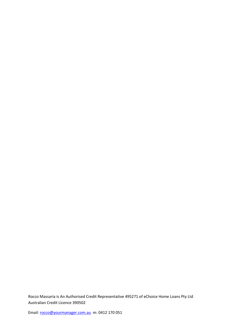Rocco Massaria is An Authorised Credit Representative 495271 of eChoice Home Loans Pty Ltd Australian Credit Licence 390502